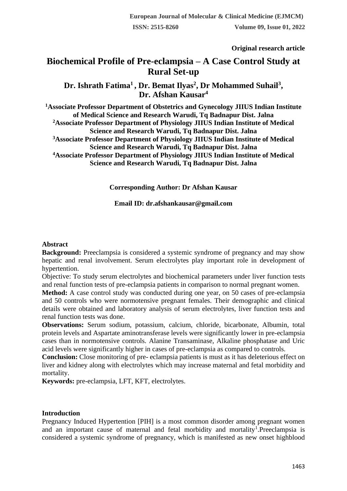# **Original research article**

# **Biochemical Profile of Pre-eclampsia – A Case Control Study at Rural Set-up**

**Dr. Ishrath Fatima<sup>1</sup>, Dr. Bemat Ilyas<sup>2</sup> , Dr Mohammed Suhail<sup>3</sup> , Dr. Afshan Kausar<sup>4</sup>**

**<sup>1</sup>Associate Professor Department of Obstetrics and Gynecology JIIUS Indian Institute of Medical Science and Research Warudi, Tq Badnapur Dist. Jalna <sup>2</sup>Associate Professor Department of Physiology JIIUS Indian Institute of Medical Science and Research Warudi, Tq Badnapur Dist. Jalna <sup>3</sup>Associate Professor Department of Physiology JIIUS Indian Institute of Medical Science and Research Warudi, Tq Badnapur Dist. Jalna <sup>4</sup>Associate Professor Department of Physiology JIIUS Indian Institute of Medical Science and Research Warudi, Tq Badnapur Dist. Jalna**

**Corresponding Author: Dr Afshan Kausar**

**Email ID: dr.afshankausar@gmail.com**

#### **Abstract**

**Background:** Preeclampsia is considered a systemic syndrome of pregnancy and may show hepatic and renal involvement. Serum electrolytes play important role in development of hypertention.

Objective: To study serum electrolytes and biochemical parameters under liver function tests and renal function tests of pre-eclampsia patients in comparison to normal pregnant women.

**Method:** A case control study was conducted during one year, on 50 cases of pre-eclampsia and 50 controls who were normotensive pregnant females. Their demographic and clinical details were obtained and laboratory analysis of serum electrolytes, liver function tests and renal function tests was done.

**Observations:** Serum sodium, potassium, calcium, chloride, bicarbonate, Albumin, total protein levels and Aspartate aminotransferase levels were significantly lower in pre-eclampsia cases than in normotensive controls. Alanine Transaminase, Alkaline phosphatase and Uric acid levels were significantly higher in cases of pre-eclampsia as compared to controls.

**Conclusion:** Close monitoring of pre- eclampsia patients is must as it has deleterious effect on liver and kidney along with electrolytes which may increase maternal and fetal morbidity and mortality.

**Keywords:** pre-eclampsia, LFT, KFT, electrolytes.

#### **Introduction**

Pregnancy Induced Hypertention [PIH] is a most common disorder among pregnant women and an important cause of maternal and fetal morbidity and mortality<sup>1</sup>.Preeclampsia is considered a systemic syndrome of pregnancy, which is manifested as new onset highblood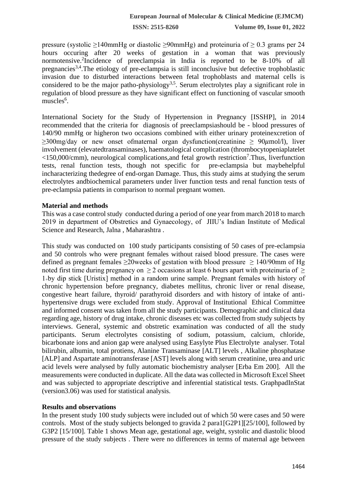pressure (systolic  $\geq$ 140mmHg or diastolic  $\geq$ 90mmHg) and proteinuria of  $\geq$  0.3 grams per 24 hours occuring after 20 weeks of gestation in a woman that was previously normotensive.<sup>2</sup> Incidence of preeclampsia in India is reported to be 8-10% of all pregnancies3,4.The etiology of pre-eclampsia is still inconclusive but defective trophoblastic invasion due to disturbed interactions between fetal trophoblasts and maternal cells is considered to be the major patho-physiology<sup>3,5</sup>. Serum electrolytes play a significant role in regulation of blood pressure as they have significant effect on functioning of vascular smooth muscles<sup>6</sup>.

International Society for the Study of Hypertension in Pregnancy [ISSHP], in 2014 recommended that the criteria for diagnosis of preeclampsiashould be - blood pressures of 140/90 mmHg or higheron two occasions combined with either urinary proteinexcretion of  $\geq$ 300mg/day or new onset ofmaternal organ dysfunction(creatinine  $\geq$  90 $\mu$ mol/l), liver involvement (elevatedtransaminases), haematological complication (thrombocytopeniaplatelet <150,000/cmm), neurological complications, and fetal growth restriction<sup>7</sup>. Thus, liverfunction tests, renal function tests, though not specific for pre-eclampsia but maybehelpful incharacterizing thedegree of end-organ Damage. Thus, this study aims at studying the serum electrolytes andbiochemical parameters under liver function tests and renal function tests of pre-eclampsia patients in comparison to normal pregnant women.

#### **Material and methods**

This was a case control study conducted during a period of one year from march 2018 to march 2019 in department of Obstretics and Gynaecology, of JIIU's Indian Institute of Medical Science and Research, Jalna , Maharashtra .

This study was conducted on 100 study participants consisting of 50 cases of pre-eclampsia and 50 controls who were pregnant females without raised blood pressure. The cases were defined as pregnant females  $\geq 20$  weeks of gestation with blood pressure  $\geq 140/90$  mm of Hg noted first time during pregnancy on  $\geq 2$  occasions at least 6 hours apart with proteinuria of  $\geq$  $1$ <sup>+</sup>by dip stick [Uristix] method in a random urine sample. Pregnant females with history of chronic hypertension before pregnancy, diabetes mellitus, chronic liver or renal disease, congestive heart failure, thyroid/ parathyroid disorders and with history of intake of antihypertensive drugs were excluded from study. Approval of Institutional Ethical Committee and informed consent was taken from all the study participants. Demographic and clinical data regarding age, history of drug intake, chronic diseases etc was collected from study subjects by interviews. General, systemic and obstretic examination was conducted of all the study participants. Serum electrolytes consisting of sodium, potassium, calcium, chloride, bicarbonate ions and anion gap were analysed using Easylyte Plus Electrolyte analyser. Total bilirubin, albumin, total protiens, Alanine Transaminase [ALT] levels , Alkaline phosphatase [ALP] and Aspartate aminotransferase [AST] levels along with serum creatinine, urea and uric acid levels were analysed by fully automatic biochemistry analyser [Erba Em 200]. All the measurements were conducted in duplicate. All the data was collected in Microsoft Excel Sheet and was subjected to appropriate descriptive and inferential statistical tests. GraphpadInStat (version3.06) was used for statistical analysis.

## **Results and observations**

In the present study 100 study subjects were included out of which 50 were cases and 50 were controls. Most of the study subjects belonged to gravida 2 para1[G2P1][25/100], followed by G3P2 [15/100]. Table 1 shows Mean age, gestational age, weight, systolic and diastolic blood pressure of the study subjects . There were no differences in terms of maternal age between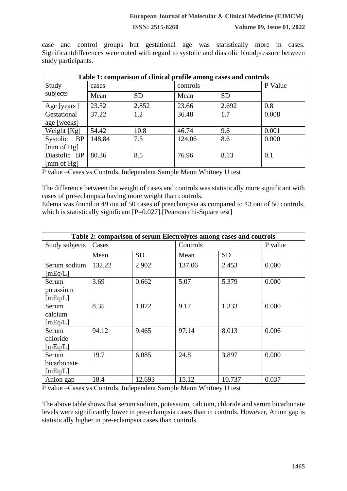**ISSN: 2515-8260 Volume 09, Issue 01, 2022**

case and control groups but gestational age was statistically more in cases. Significantdifferences were noted with regard to systolic and diastolic bloodpressure between study participants.

| Table 1: comparison of clinical profile among cases and controls |        |           |          |           |         |
|------------------------------------------------------------------|--------|-----------|----------|-----------|---------|
| Study                                                            | cases  |           | controls |           | P Value |
| subjects                                                         | Mean   | <b>SD</b> | Mean     | <b>SD</b> |         |
| Age [years ]                                                     | 23.52  | 2.852     | 23.66    | 2.692     | 0.8     |
| Gestational                                                      | 37.22  | 1.2       | 36.48    | 1.7       | 0.008   |
| age [weeks]                                                      |        |           |          |           |         |
| Weight [Kg]                                                      | 54.42  | 10.8      | 46.74    | 9.6       | 0.001   |
| Systolic BP                                                      | 148.84 | 7.5       | 124.06   | 8.6       | 0.000   |
| $\lceil \text{mm of Hg} \rceil$                                  |        |           |          |           |         |
| Diastolic BP                                                     | 80.36  | 8.5       | 76.96    | 8.13      | 0.1     |
| [mm of $Hg$ ]                                                    |        |           |          |           |         |

P value –Cases vs Controls, Independent Sample Mann Whitney U test

The difference between the weight of cases and controls was statistically more significant with cases of pre-eclampsia having more weight than controls.

Edema was found in 49 out of 50 cases of preeclampsia as compared to 43 out of 50 controls, which is statistically significant  $[P=0.027]$ . [Pearson chi-Square test]

| Table 2: comparison of serum Electrolytes among cases and controls |        |           |          |           |         |
|--------------------------------------------------------------------|--------|-----------|----------|-----------|---------|
| Study subjects                                                     | Cases  |           | Controls |           | P value |
|                                                                    | Mean   | <b>SD</b> | Mean     | <b>SD</b> |         |
| Serum sodium<br>[mEq/L]                                            | 132.22 | 2.902     | 137.06   | 2.453     | 0.000   |
| Serum                                                              | 3.69   | 0.662     | 5.07     | 5.379     | 0.000   |
| potassium                                                          |        |           |          |           |         |
| [mEq/L]                                                            |        |           |          |           |         |
| Serum                                                              | 8.35   | 1.072     | 9.17     | 1.333     | 0.000   |
| calcium                                                            |        |           |          |           |         |
| [mEq/L]                                                            |        |           |          |           |         |
| Serum                                                              | 94.12  | 9.465     | 97.14    | 8.013     | 0.006   |
| chloride                                                           |        |           |          |           |         |
| [mEq/L]                                                            |        |           |          |           |         |
| Serum                                                              | 19.7   | 6.085     | 24.8     | 3.897     | 0.000   |
| bicarbonate                                                        |        |           |          |           |         |
| [mEq/L]                                                            |        |           |          |           |         |
| Anion gap                                                          | 18.4   | 12.693    | 15.12    | 10.737    | 0.037   |

P value –Cases vs Controls, Independent Sample Mann Whitney U test

The above table shows that serum sodium, potassium, calcium, chloride and serum bicarbonate levels were significantly lower in pre-eclampsia cases than in controls. However, Anion gap is statistically higher in pre-eclampsia cases than controls.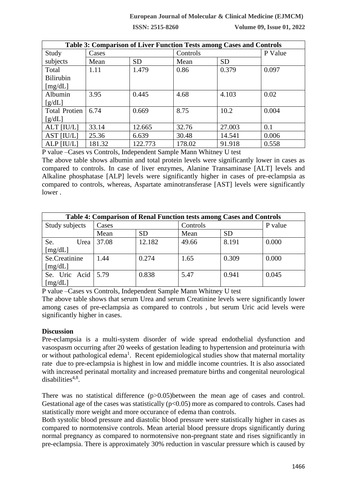#### **European Journal of Molecular & Clinical Medicine (EJMCM)**

**ISSN: 2515-8260 Volume 09, Issue 01, 2022**

| Table 3: Comparison of Liver Function Tests among Cases and Controls |        |           |          |           |         |
|----------------------------------------------------------------------|--------|-----------|----------|-----------|---------|
| Study                                                                | Cases  |           | Controls |           | P Value |
| subjects                                                             | Mean   | <b>SD</b> | Mean     | <b>SD</b> |         |
| Total                                                                | 1.11   | 1.479     | 0.86     | 0.379     | 0.097   |
| <b>Bilirubin</b>                                                     |        |           |          |           |         |
| [mg/dL]                                                              |        |           |          |           |         |
| Albumin                                                              | 3.95   | 0.445     | 4.68     | 4.103     | 0.02    |
| [g/dL]                                                               |        |           |          |           |         |
| <b>Total Protien</b>                                                 | 6.74   | 0.669     | 8.75     | 10.2      | 0.004   |
| [g/dL]                                                               |        |           |          |           |         |
| ALT [IU/L]                                                           | 33.14  | 12.665    | 32.76    | 27.003    | 0.1     |
| AST [IU/L]                                                           | 25.36  | 6.639     | 30.48    | 14.541    | 0.006   |
| ALP [IU/L]                                                           | 181.32 | 122.773   | 178.02   | 91.918    | 0.558   |

P value –Cases vs Controls, Independent Sample Mann Whitney U test

The above table shows albumin and total protein levels were significantly lower in cases as compared to controls. In case of liver enzymes, Alanine Transaminase [ALT] levels and Alkaline phosphatase [ALP] levels were significantly higher in cases of pre-eclampsia as compared to controls, whereas, Aspartate aminotransferase [AST] levels were significantly lower .

| Table 4: Comparison of Renal Function tests among Cases and Controls |       |           |          |           |         |
|----------------------------------------------------------------------|-------|-----------|----------|-----------|---------|
| Study subjects                                                       | Cases |           | Controls |           | P value |
|                                                                      | Mean  | <b>SD</b> | Mean     | <b>SD</b> |         |
| Se.<br>Urea                                                          | 37.08 | 12.182    | 49.66    | 8.191     | 0.000   |
| [mg/dL]                                                              |       |           |          |           |         |
| Se.Creatinine                                                        | 1.44  | 0.274     | 1.65     | 0.309     | 0.000   |
| [mg/dL]                                                              |       |           |          |           |         |
| Se. Uric Acid                                                        | 5.79  | 0.838     | 5.47     | 0.941     | 0.045   |
| [mg/dL]                                                              |       |           |          |           |         |

P value –Cases vs Controls, Independent Sample Mann Whitney U test

The above table shows that serum Urea and serum Creatinine levels were significantly lower among cases of pre-eclampsia as compared to controls , but serum Uric acid levels were significantly higher in cases.

## **Discussion**

Pre-eclampsia is a multi-system disorder of wide spread endothelial dysfunction and vasospasm occurring after 20 weeks of gestation leading to hypertension and proteinuria with or without pathological edema<sup>1</sup>. Recent epidemiological studies show that maternal mortality rate due to pre-eclampsia is highest in low and middle income countries. It is also associated with increased perinatal mortality and increased premature births and congenital neurological  $disabilities<sup>4,8</sup>$ .

There was no statistical difference (p>0.05)between the mean age of cases and control. Gestational age of the cases was statistically  $(p<0.05)$  more as compared to controls. Cases had statistically more weight and more occurance of edema than controls.

Both systolic blood pressure and diastolic blood pressure were statistically higher in cases as compared to normotensive controls. Mean arterial blood pressure drops significantly during normal pregnancy as compared to normotensive non-pregnant state and rises significantly in pre-eclampsia. There is approximately 30% reduction in vascular pressure which is caused by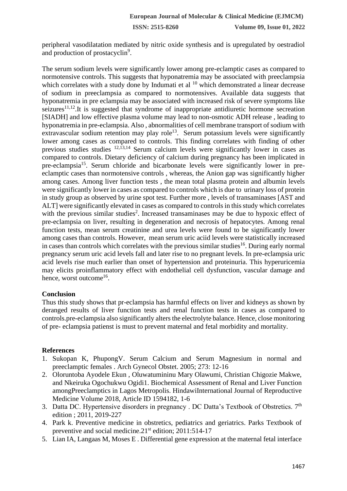peripheral vasodilatation mediated by nitric oxide synthesis and is upregulated by oestradiol and production of prostacyclin<sup>9</sup>.

The serum sodium levels were significantly lower among pre-eclamptic cases as compared to normotensive controls. This suggests that hyponatremia may be associated with preeclampsia which correlates with a study done by Indumati et al  $^{10}$  which demonstrated a linear decrease of sodium in preeclampsia as compared to normotensives. Available data suggests that hyponatremia in pre eclampsia may be associated with increased risk of severe symptoms like seizures<sup>11,12</sup>.It is suggested that syndrome of inappropriate antidiuretic hormone secreation [SIADH] and low effective plasma volume may lead to non-osmotic ADH release , leading to hyponatremia in pre-eclampsia. Also , abnormalities of cell membrane transport of sodium with extravascular sodium retention may play role<sup>13</sup>. Serum potassium levels were significantly lower among cases as compared to controls. This finding correlates with finding of other previous studies studies  $12,13,14$  Serum calcium levels were significantly lower in cases as compared to controls. Dietary deficiency of calcium during pregnancy has been implicated in pre-eclampsia<sup>15</sup>. Serum chloride and bicarbonate levels were significantly lower in preeclamptic cases than normotensive controls , whereas, the Anion gap was significantly higher among cases. Among liver function tests , the mean total plasma protein and albumin levels were significantly lower in cases as compared to controls which is due to urinary loss of protein in study group as observed by urine spot test. Further more , levels of transaminases [AST and ALT] were significantly elevated in cases as compared to controls in this study which correlates with the previous similar studies<sup>2</sup>. Increased transaminases may be due to hypoxic effect of pre-eclampsia on liver, resulting in degeneration and necrosis of hepatocytes. Among renal function tests, mean serum creatinine and urea levels were found to be significantly lower among cases than controls. However, mean serum uric aciid levels were statistically increased in cases than controls which correlates with the previous similar studies<sup>16</sup>. During early normal pregnancy serum uric acid levels fall and later rise to no pregnant levels. In pre-eclampsia uric acid levels rise much earlier than onset of hypertension and proteinuria. This hyperuricemia may elicits proinflammatory effect with endothelial cell dysfunction, vascular damage and hence, worst outcome<sup>16</sup>.

## **Conclusion**

Thus this study shows that pr-eclampsia has harmful effects on liver and kidneys as shown by deranged results of liver function tests and renal function tests in cases as compared to controls.pre-eclampsia also significantly alters the electrolyte balance. Hence, close monitoring of pre- eclampsia patienst is must to prevent maternal and fetal morbidity and mortality.

## **References**

- 1. Sukopan K, PhupongV. Serum Calcium and Serum Magnesium in normal and preeclamptic females . Arch Gynecol Obstet. 2005; 273: 12-16
- 2. Oloruntoba Ayodele Ekun , Oluwatumininu Mary Olawumi, Christian Chigozie Makwe, and Nkeiruka Ogochukwu Ogidi1. Biochemical Assessment of Renal and Liver Function amongPreeclamptics in Lagos Metropolis. HindawiInternational Journal of Reproductive Medicine Volume 2018, Article ID 1594182, 1-6
- 3. Datta DC. Hypertensive disorders in pregnancy . DC Datta's Textbook of Obstretics.  $7<sup>th</sup>$ edition ; 2011, 2019-227
- 4. Park k. Preventive medicine in obstretics, pediatrics and geriatrics. Parks Textbook of preventive and social medicine.21<sup>st</sup> edition; 2011:514-17
- 5. Lian IA, Langaas M, Moses E . Differential gene expression at the maternal fetal interface